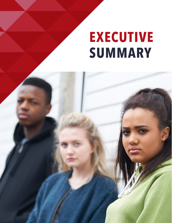# **EXECUTIVE SUMMARY**

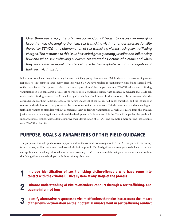Over three years ago, the JuST Response Council began to discuss an emerging issue that was challenging the field: sex trafficking victim-offender intersectionality (hereafter ST-VOI) – the phenomenon of sex trafficking victims facing sex trafficking charges. The response to this issue has varied greatly among jurisdictions, influencing how and when sex trafficking survivors are treated as victims of a crime and when they are treated as equal offenders alongside their exploiter without recognition of their own victimization.

It has also been increasingly impacting human trafficking policy development. While there is a spectrum of possible responses to this complex issue, many cases involving ST-VOI have resulted in trafficking victims being charged with trafficking offenses. This approach reflects a narrow appreciation of the complex nature of ST-VOI, where past trafficking victimization is not considered or loses its relevance once a trafficking survivor has engaged in behavior that could fall under anti-trafficking statutes. The Council recognized the injustice inherent in this response; it is inconsistent with the actual dynamics of how trafficking occurs, the nature and extent of control exerted by sex traffickers, and the influence of trauma on the decision-making process and behavior of sex trafficking survivors. This demonstrated trend of charging sex trafficking victims as offenders without considering their underlying victimization as well as requests from the criminal justice system to provide guidance motivated the development of this resource. It is the Council's hope that this guide will support criminal justice stakeholders to improve their identification of ST-VOI and promote a more fair and just response once ST-VOI is identified.

## **PURPOSE, GOALS & PARAMETERS OF THIS FIELD GUIDANCE**

The purpose of this field guidance is to support a shift in the criminal justice response to ST-VOI. The goal is to move away from a narrow, retributive approach and toward a holistic approach. This field guidance encourages stakeholders to consider and apply a sex trafficking-informed lens to cases involving ST-VOI. To accomplish that goal, the resources and tools in this field guidance were developed with three primary objectives:

- **Improve identification of sex trafficking victim-offenders who have come into contact with the criminal justice system at any stage of the process 1**
- **Enhance understanding of victim-offenders' conduct through a sex trafficking- and trauma-informed lens 2**
- **Identify alternative responses to victim-offenders that take into account the impact of their own victimization on their potential involvement in sex trafficking conduct 3**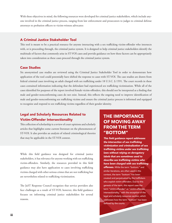With these objectives in mind, the following resources were developed for criminal justice stakeholders, which include anyone involved in the criminal justice process, ranging from law enforcement and prosecutors to judges to criminal defense attorneys to probation officers to victim-witness advocates:

#### A Criminal Justice Stakeholder Tool

This tool is meant to be a practical resource for anyone interacting with a sex trafficking victim-offender who intersects with, or is proceeding through, the criminal justice system. It is designed to help criminal justice stakeholders identify the multitude of factors that commonly arise in ST-VOI cases and provide guidance on how these factors can be appropriately taken into consideration as these cases proceed through the criminal justice system.

#### Case Studies

Six anonymized case studies are reviewed using the Criminal Justice Stakeholder Tool in order to demonstrate how application of the tool could potentially have shifted the response to cases with ST-VOI. The case studies are drawn from federal criminal cases involving an adult charged with sex trafficking under 18 U.S.C. § 1591. The court records in these cases contained information indicating that the defendant had experienced sex trafficking victimization. While all of the cases identified for purposes of the report involved female victim-offenders, this should not be interpreted as a finding that male and gender-nonconforming cases do not exist. Instead, this reflects the ongoing need to improve identification of male and gender-nonconforming sex trafficking victims and ensure the criminal justice process is informed and equipped to recognize and respond to sex trafficking victims regardless of their gender identity.

## Legal and Scholarly Resources Related to Victim-Offender Intersectionality

This collection of scholarship is a review of court opinions and scholarly articles that highlights some current literature on the phenomenon of ST-VOI. It also provides an analysis of related criminological theories that may be applicable in the ST-VOI context.

While this field guidance was designed for criminal justice stakeholders, it has relevance for anyone working with sex trafficking victim-offenders. Similarly, the resources provided in this field guidance may also have application to cases involving trafficking victims charged with other serious crimes that are not trafficking but are nevertheless related to trafficking victimization.

The JuST Response Council recognizes that service providers also face challenges as a result of ST-VOI; however, this field guidance focuses on informing criminal justice stakeholders for several reasons.

## **THE IMPORTANCE OF MOVING AWAY FROM THE TERM "BOTTOM"**

This field guidance report addresses the intersection of sex trafficking *victimization and criminalization of sex*  trafficking victims under sex trafficking laws without relying on derogatory *labels that are sometimes used to*  describe sex trafficking victims who have been charged with sex trafficking *offenses.* While the term "bottom," and similar iterations, are often used in this context, the term "bottom" has been created and perpetuated by the traffickers who exploit victim-offenders. Due to this genesis of the term, this report uses the term "victim-offender" or "victim-offender intersectionality," with the exception of the legal and scholarly resources section, which addresses how the term "bottom" has been defined by the courts.